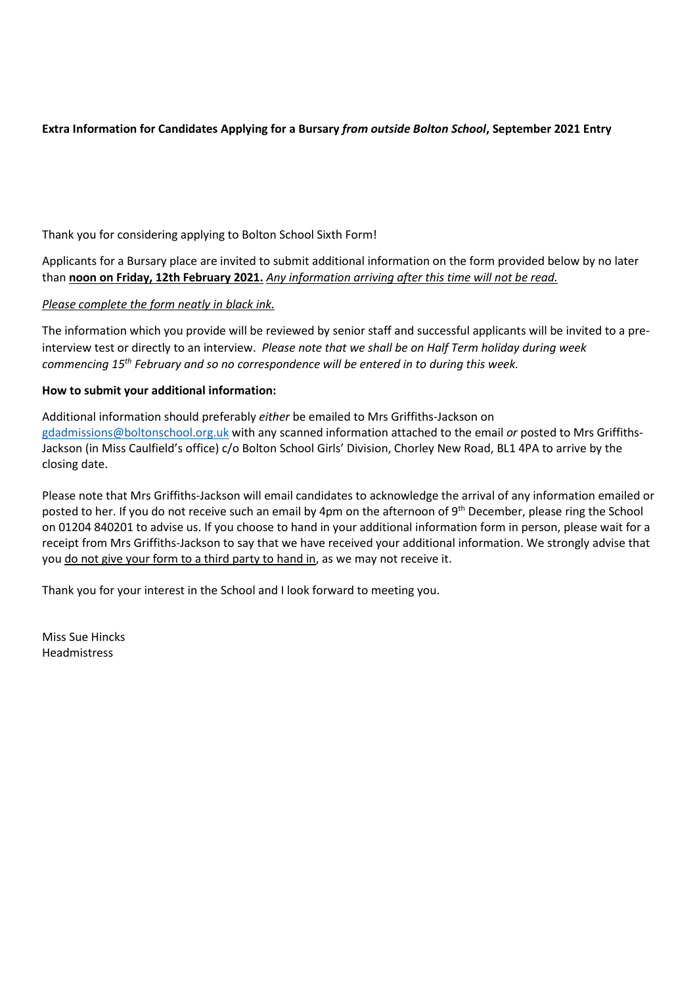# **Extra Information for Candidates Applying for a Bursary** *from outside Bolton School***, September 2021 Entry**

Thank you for considering applying to Bolton School Sixth Form!

Applicants for a Bursary place are invited to submit additional information on the form provided below by no later than **noon on Friday, 12th February 2021.** *Any information arriving after this time will not be read.*

# *Please complete the form neatly in black ink.*

The information which you provide will be reviewed by senior staff and successful applicants will be invited to a preinterview test or directly to an interview. *Please note that we shall be on Half Term holiday during week commencing 15th February and so no correspondence will be entered in to during this week.* 

# **How to submit your additional information:**

Additional information should preferably *either* be emailed to Mrs Griffiths-Jackson on [gdadmissions@boltonschool.org.uk](mailto:gdadmissions@boltonschool.org.uk) with any scanned information attached to the email *or* posted to Mrs Griffiths-Jackson (in Miss Caulfield's office) c/o Bolton School Girls' Division, Chorley New Road, BL1 4PA to arrive by the closing date.

Please note that Mrs Griffiths-Jackson will email candidates to acknowledge the arrival of any information emailed or posted to her. If you do not receive such an email by 4pm on the afternoon of 9<sup>th</sup> December, please ring the School on 01204 840201 to advise us. If you choose to hand in your additional information form in person, please wait for a receipt from Mrs Griffiths-Jackson to say that we have received your additional information. We strongly advise that you do not give your form to a third party to hand in, as we may not receive it.

Thank you for your interest in the School and I look forward to meeting you.

Miss Sue Hincks Headmistress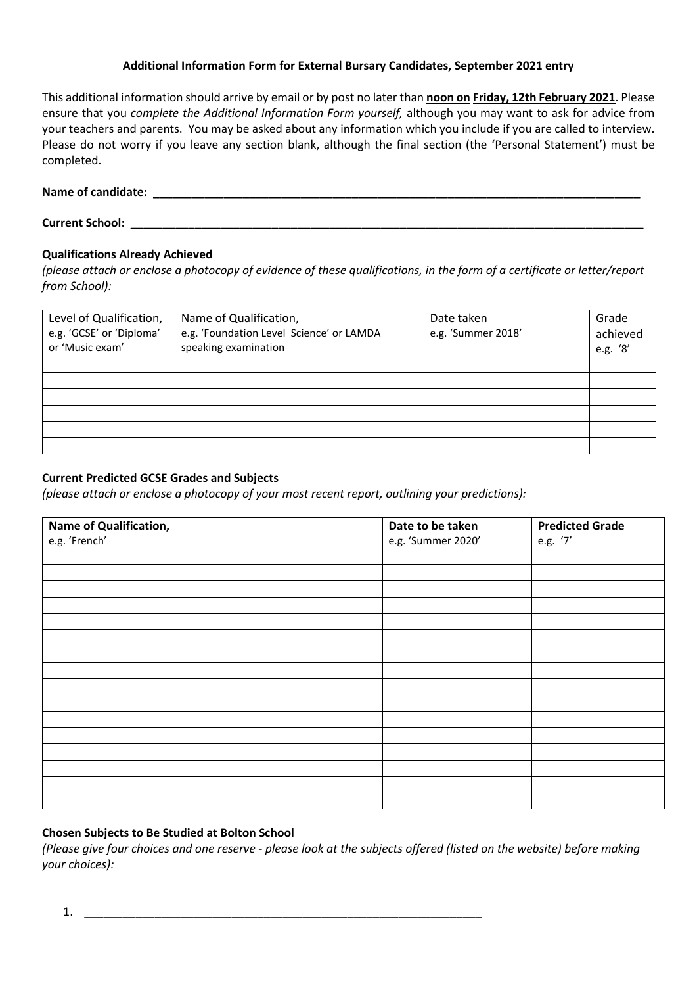# **Additional Information Form for External Bursary Candidates, September 2021 entry**

This additional information should arrive by email or by post no later than **noon on Friday, 12th February 2021**. Please ensure that you *complete the Additional Information Form yourself,* although you may want to ask for advice from your teachers and parents. You may be asked about any information which you include if you are called to interview. Please do not worry if you leave any section blank, although the final section (the 'Personal Statement') must be completed.

| Name of candidate: |  |
|--------------------|--|
|--------------------|--|

| <b>Current School:</b> |  |
|------------------------|--|
|                        |  |

# **Qualifications Already Achieved**

*(please attach or enclose a photocopy of evidence of these qualifications, in the form of a certificate or letter/report from School):* 

| Level of Qualification,  | Name of Qualification,                   | Date taken         | Grade    |
|--------------------------|------------------------------------------|--------------------|----------|
| e.g. 'GCSE' or 'Diploma' | e.g. 'Foundation Level Science' or LAMDA | e.g. 'Summer 2018' | achieved |
| or 'Music exam'          | speaking examination                     |                    | e.g. '8' |
|                          |                                          |                    |          |
|                          |                                          |                    |          |
|                          |                                          |                    |          |
|                          |                                          |                    |          |
|                          |                                          |                    |          |
|                          |                                          |                    |          |

# **Current Predicted GCSE Grades and Subjects**

*(please attach or enclose a photocopy of your most recent report, outlining your predictions):* 

| Name of Qualification, | Date to be taken   | <b>Predicted Grade</b> |
|------------------------|--------------------|------------------------|
| e.g. 'French'          | e.g. 'Summer 2020' | e.g. '7'               |
|                        |                    |                        |
|                        |                    |                        |
|                        |                    |                        |
|                        |                    |                        |
|                        |                    |                        |
|                        |                    |                        |
|                        |                    |                        |
|                        |                    |                        |
|                        |                    |                        |
|                        |                    |                        |
|                        |                    |                        |
|                        |                    |                        |
|                        |                    |                        |
|                        |                    |                        |
|                        |                    |                        |
|                        |                    |                        |

# **Chosen Subjects to Be Studied at Bolton School**

*(Please give four choices and one reserve - please look at the subjects offered (listed on the website) before making your choices):* 

1. \_\_\_\_\_\_\_\_\_\_\_\_\_\_\_\_\_\_\_\_\_\_\_\_\_\_\_\_\_\_\_\_\_\_\_\_\_\_\_\_\_\_\_\_\_\_\_\_\_\_\_\_\_\_\_\_\_\_\_\_\_\_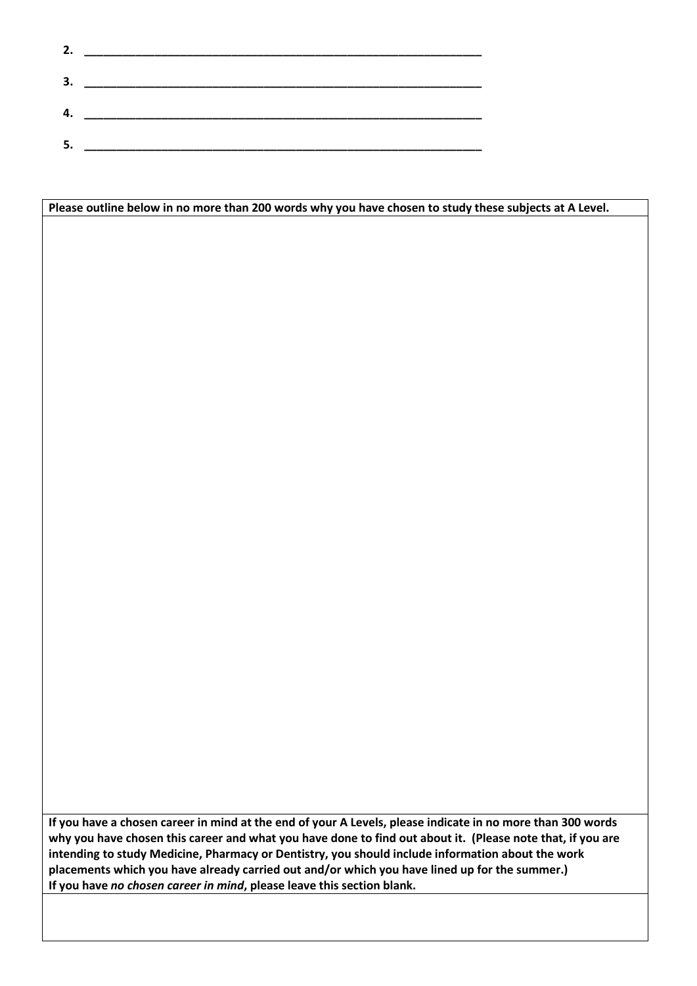| 2. |  |
|----|--|
|    |  |
| 3. |  |
|    |  |
| 4. |  |
|    |  |
| 5. |  |
|    |  |

| Please outline below in no more than 200 words why you have chosen to study these subjects at A Level.                                                                                                                                                                                                                                                                                                                                                                                                   |  |
|----------------------------------------------------------------------------------------------------------------------------------------------------------------------------------------------------------------------------------------------------------------------------------------------------------------------------------------------------------------------------------------------------------------------------------------------------------------------------------------------------------|--|
|                                                                                                                                                                                                                                                                                                                                                                                                                                                                                                          |  |
|                                                                                                                                                                                                                                                                                                                                                                                                                                                                                                          |  |
|                                                                                                                                                                                                                                                                                                                                                                                                                                                                                                          |  |
|                                                                                                                                                                                                                                                                                                                                                                                                                                                                                                          |  |
|                                                                                                                                                                                                                                                                                                                                                                                                                                                                                                          |  |
|                                                                                                                                                                                                                                                                                                                                                                                                                                                                                                          |  |
|                                                                                                                                                                                                                                                                                                                                                                                                                                                                                                          |  |
|                                                                                                                                                                                                                                                                                                                                                                                                                                                                                                          |  |
|                                                                                                                                                                                                                                                                                                                                                                                                                                                                                                          |  |
|                                                                                                                                                                                                                                                                                                                                                                                                                                                                                                          |  |
|                                                                                                                                                                                                                                                                                                                                                                                                                                                                                                          |  |
|                                                                                                                                                                                                                                                                                                                                                                                                                                                                                                          |  |
|                                                                                                                                                                                                                                                                                                                                                                                                                                                                                                          |  |
|                                                                                                                                                                                                                                                                                                                                                                                                                                                                                                          |  |
|                                                                                                                                                                                                                                                                                                                                                                                                                                                                                                          |  |
|                                                                                                                                                                                                                                                                                                                                                                                                                                                                                                          |  |
|                                                                                                                                                                                                                                                                                                                                                                                                                                                                                                          |  |
|                                                                                                                                                                                                                                                                                                                                                                                                                                                                                                          |  |
|                                                                                                                                                                                                                                                                                                                                                                                                                                                                                                          |  |
|                                                                                                                                                                                                                                                                                                                                                                                                                                                                                                          |  |
|                                                                                                                                                                                                                                                                                                                                                                                                                                                                                                          |  |
|                                                                                                                                                                                                                                                                                                                                                                                                                                                                                                          |  |
|                                                                                                                                                                                                                                                                                                                                                                                                                                                                                                          |  |
|                                                                                                                                                                                                                                                                                                                                                                                                                                                                                                          |  |
|                                                                                                                                                                                                                                                                                                                                                                                                                                                                                                          |  |
|                                                                                                                                                                                                                                                                                                                                                                                                                                                                                                          |  |
|                                                                                                                                                                                                                                                                                                                                                                                                                                                                                                          |  |
|                                                                                                                                                                                                                                                                                                                                                                                                                                                                                                          |  |
|                                                                                                                                                                                                                                                                                                                                                                                                                                                                                                          |  |
|                                                                                                                                                                                                                                                                                                                                                                                                                                                                                                          |  |
|                                                                                                                                                                                                                                                                                                                                                                                                                                                                                                          |  |
|                                                                                                                                                                                                                                                                                                                                                                                                                                                                                                          |  |
|                                                                                                                                                                                                                                                                                                                                                                                                                                                                                                          |  |
|                                                                                                                                                                                                                                                                                                                                                                                                                                                                                                          |  |
|                                                                                                                                                                                                                                                                                                                                                                                                                                                                                                          |  |
|                                                                                                                                                                                                                                                                                                                                                                                                                                                                                                          |  |
|                                                                                                                                                                                                                                                                                                                                                                                                                                                                                                          |  |
| If you have a chosen career in mind at the end of your A Levels, please indicate in no more than 300 words<br>why you have chosen this career and what you have done to find out about it. (Please note that, if you are<br>intending to study Medicine, Pharmacy or Dentistry, you should include information about the work<br>placements which you have already carried out and/or which you have lined up for the summer.)<br>If you have no chosen career in mind, please leave this section blank. |  |
|                                                                                                                                                                                                                                                                                                                                                                                                                                                                                                          |  |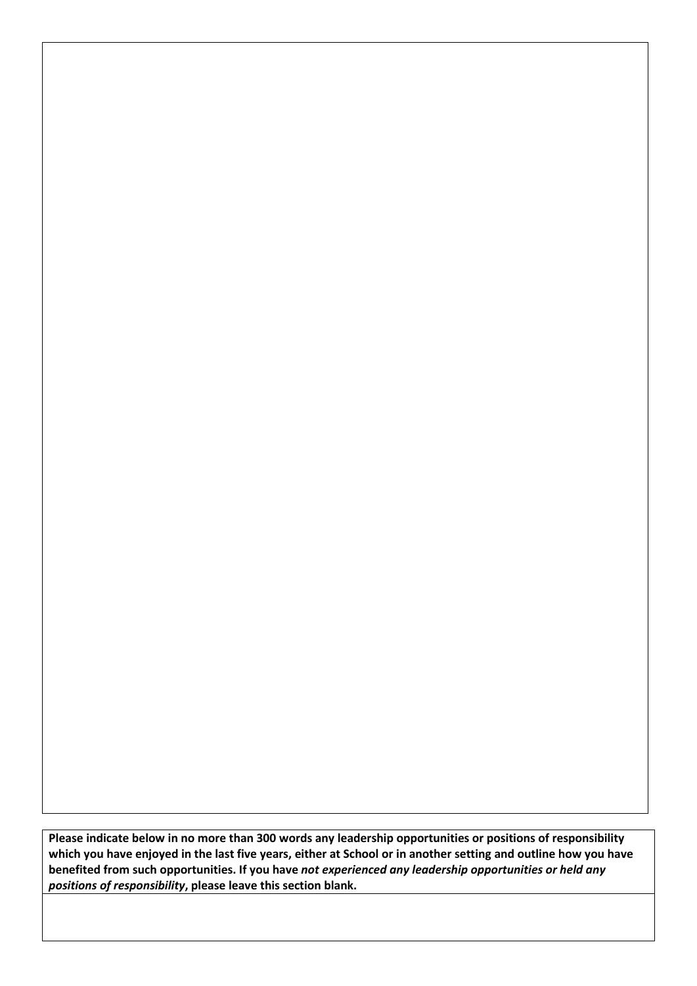**Please indicate below in no more than 300 words any leadership opportunities or positions of responsibility which you have enjoyed in the last five years, either at School or in another setting and outline how you have benefited from such opportunities. If you have** *not experienced any leadership opportunities or held any positions of responsibility***, please leave this section blank.**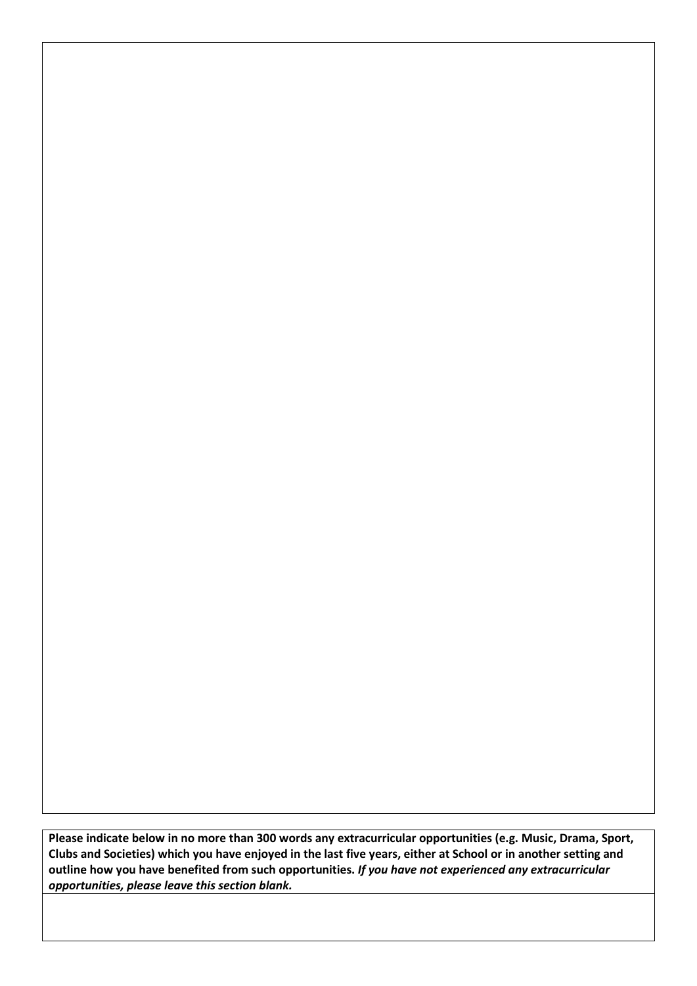**Please indicate below in no more than 300 words any extracurricular opportunities (e.g. Music, Drama, Sport, Clubs and Societies) which you have enjoyed in the last five years, either at School or in another setting and outline how you have benefited from such opportunities.** *If you have not experienced any extracurricular opportunities, please leave this section blank.*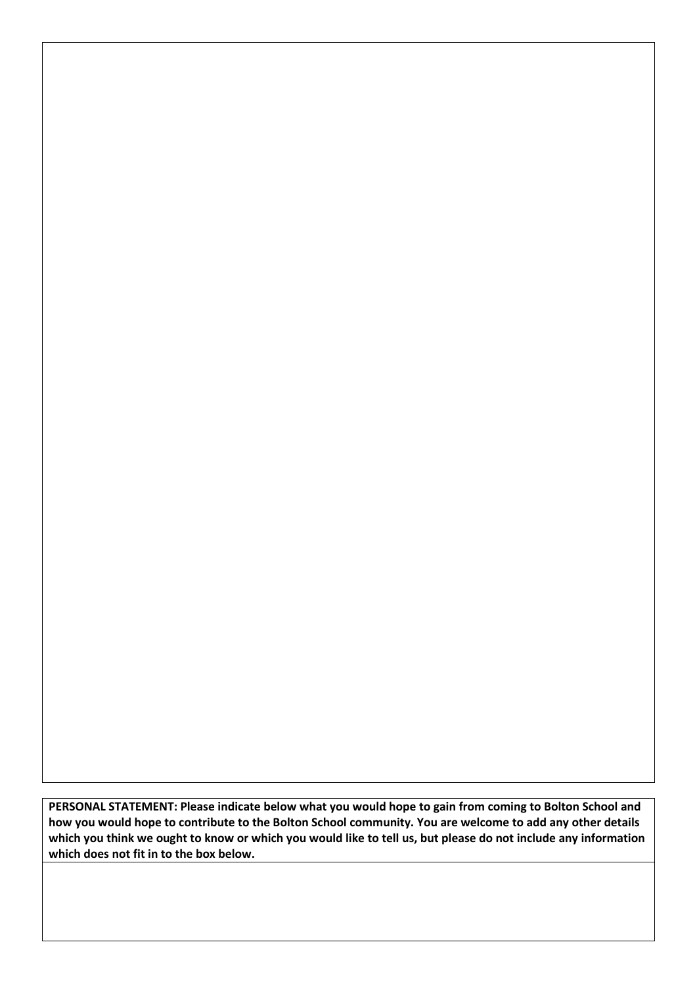**PERSONAL STATEMENT: Please indicate below what you would hope to gain from coming to Bolton School and how you would hope to contribute to the Bolton School community. You are welcome to add any other details which you think we ought to know or which you would like to tell us, but please do not include any information which does not fit in to the box below.**